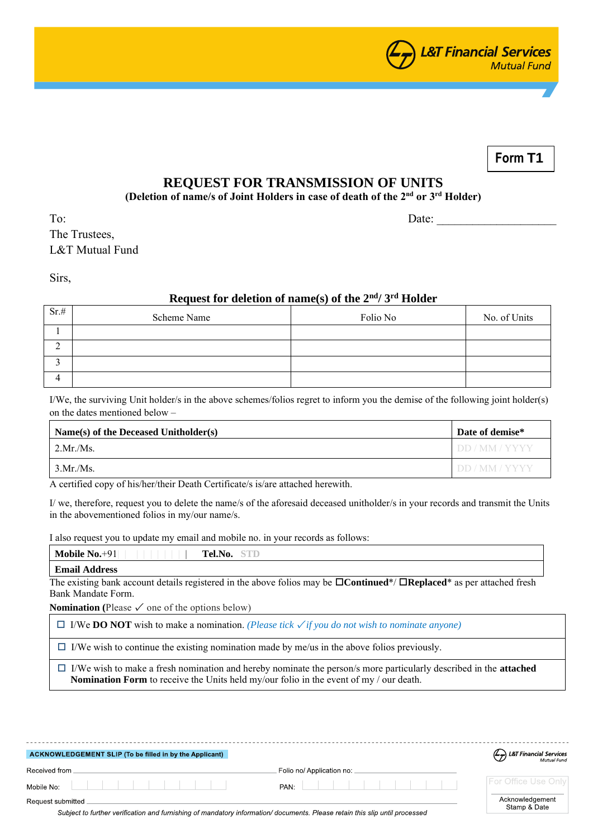

**Form T1**

## **REQUEST FOR TRANSMISSION OF UNITS**

**(Deletion of name/s of Joint Holders in case of death of the 2 nd or 3 rd Holder)**

To: Date: The Trustees, L&T Mutual Fund

Sirs,

## **Request for deletion of name(s) of the 2nd/ 3rd Holder**

| Sr.# | Scheme Name | Folio No | No. of Units |
|------|-------------|----------|--------------|
|      |             |          |              |
|      |             |          |              |
|      |             |          |              |
|      |             |          |              |

I/We, the surviving Unit holder/s in the above schemes/folios regret to inform you the demise of the following joint holder(s) on the dates mentioned below –

| $Name(s)$ of the Deceased Unitholder(s) | Date of demise*    |
|-----------------------------------------|--------------------|
| $2$ Mr./Ms.                             | <b>IDD/MM/YYYY</b> |
| 3.Mr/Ms.                                | <b>IDD/MM/YYYY</b> |

A certified copy of his/her/their Death Certificate/s is/are attached herewith.

I/ we, therefore, request you to delete the name/s of the aforesaid deceased unitholder/s in your records and transmit the Units in the abovementioned folios in my/our name/s.

I also request you to update my email and mobile no. in your records as follows:

| Mobile $No.+91$      | <b>No or write the co</b><br>Tel.No. |
|----------------------|--------------------------------------|
| <b>Email Address</b> |                                      |

The existing bank account details registered in the above folios may be  $\Box$ **Continued**\*/  $\Box$ **Replaced**\* as per attached fresh Bank Mandate Form.

**Nomination** (Please  $\checkmark$  one of the options below)

I/We **DO NOT** wish to make a nomination. *(Please tick* ✓ *if you do not wish to nominate anyone)*

 $\Box$  I/We wish to continue the existing nomination made by me/us in the above folios previously.

 I/We wish to make a fresh nomination and hereby nominate the person/s more particularly described in the **attached Nomination Form** to receive the Units held my/our folio in the event of my / our death.

| ACKNOWLEDGEMENT SLIP (To be filled in by the Applicant) |                           | L&T Financial Services          |
|---------------------------------------------------------|---------------------------|---------------------------------|
| Received from                                           | Folio no/ Application no: |                                 |
| Mobile No:                                              | PAN:                      | <b>For Office Use Only</b>      |
| Request submitted                                       |                           | Acknowledgement<br>Stamp & Date |

Subject to further verification and furnishing of mandatory information/documents. Please retain this slip until processed